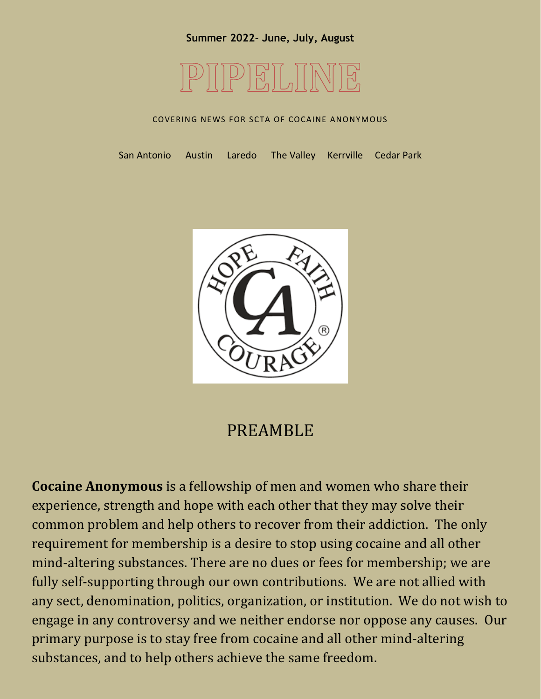

#### COVERING NEWS FOR SCTA OF COCAINE ANONYMOUS

San Antonio Austin Laredo The Valley Kerrville Cedar Park



### PREAMBLE

**Cocaine Anonymous** is a fellowship of men and women who share their experience, strength and hope with each other that they may solve their common problem and help others to recover from their addiction. The only requirement for membership is a desire to stop using cocaine and all other mind-altering substances. There are no dues or fees for membership; we are fully self-supporting through our own contributions. We are not allied with any sect, denomination, politics, organization, or institution. We do not wish to engage in any controversy and we neither endorse nor oppose any causes. Our primary purpose is to stay free from cocaine and all other mind-altering substances, and to help others achieve the same freedom.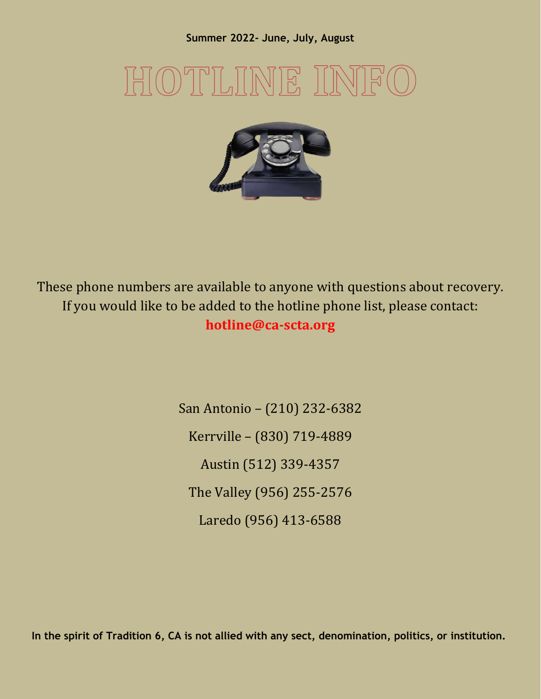# $\frac{1}{2}$



These phone numbers are available to anyone with questions about recovery. If you would like to be added to the hotline phone list, please contact: **hotline@ca-scta.org**

> San Antonio – (210) 232-6382 Kerrville – (830) 719-4889 Austin (512) 339-4357 The Valley (956) 255-2576 Laredo (956) 413-6588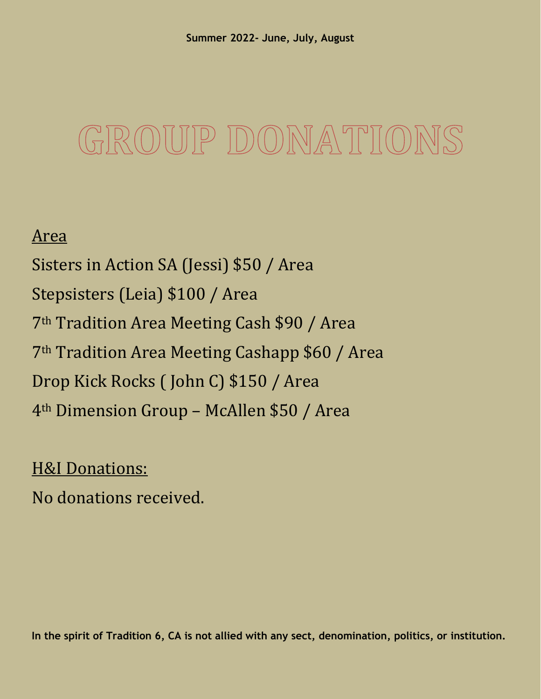# GROUP DONATIO

### Area

Sisters in Action SA (Jessi) \$50 / Area Stepsisters (Leia) \$100 / Area 7th Tradition Area Meeting Cash \$90 / Area 7th Tradition Area Meeting Cashapp \$60 / Area Drop Kick Rocks ( John C) \$150 / Area 4th Dimension Group – McAllen \$50 / Area

### **H&I Donations:**

No donations received.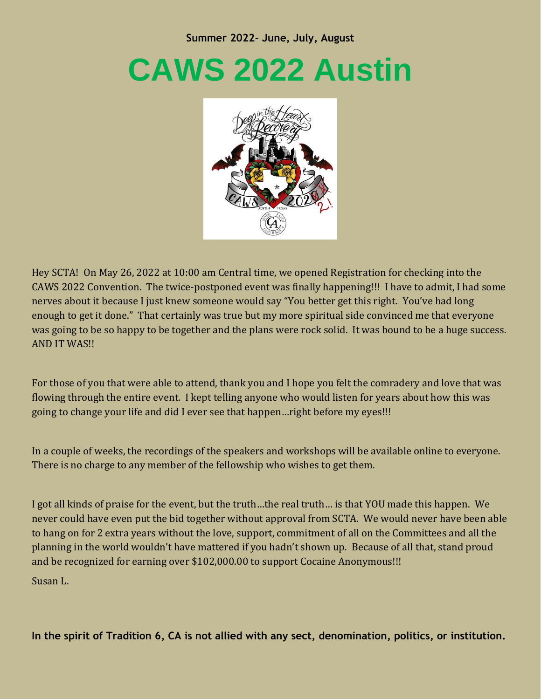# **CAWS 2022 Austin**



Hey SCTA! On May 26, 2022 at 10:00 am Central time, we opened Registration for checking into the CAWS 2022 Convention. The twice-postponed event was finally happening!!! I have to admit, I had some nerves about it because I just knew someone would say "You better get this right. You've had long enough to get it done." That certainly was true but my more spiritual side convinced me that everyone was going to be so happy to be together and the plans were rock solid. It was bound to be a huge success. AND IT WAS!!

For those of you that were able to attend, thank you and I hope you felt the comradery and love that was flowing through the entire event. I kept telling anyone who would listen for years about how this was going to change your life and did I ever see that happen…right before my eyes!!!

In a couple of weeks, the recordings of the speakers and workshops will be available online to everyone. There is no charge to any member of the fellowship who wishes to get them.

I got all kinds of praise for the event, but the truth…the real truth… is that YOU made this happen. We never could have even put the bid together without approval from SCTA. We would never have been able to hang on for 2 extra years without the love, support, commitment of all on the Committees and all the planning in the world wouldn't have mattered if you hadn't shown up. Because of all that, stand proud and be recognized for earning over \$102,000.00 to support Cocaine Anonymous!!!

Susan L.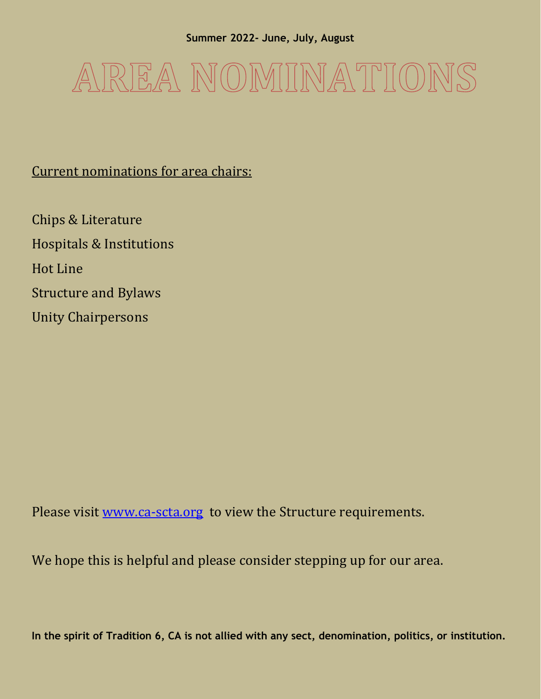

### Current nominations for area chairs:

Chips & Literature Hospitals & Institutions Hot Line Structure and Bylaws Unity Chairpersons

Please visit [www.ca-scta.org](http://www.ca-scta.org/) to view the Structure requirements.

We hope this is helpful and please consider stepping up for our area.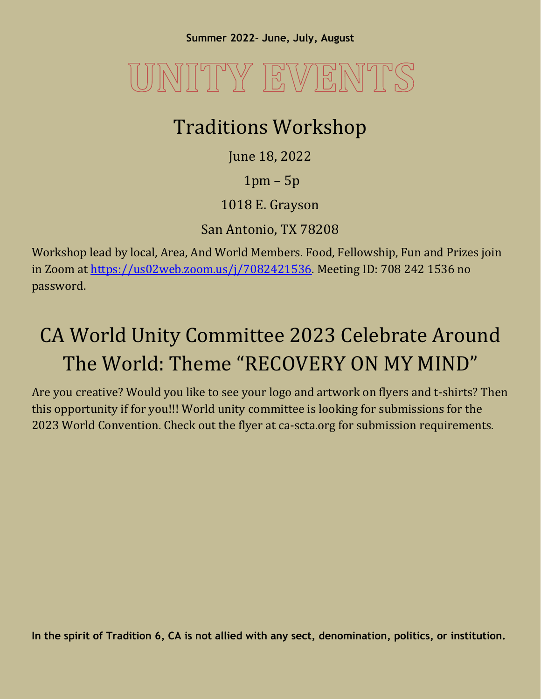# JNITY EVENTS

## Traditions Workshop

June 18, 2022

1pm – 5p

1018 E. Grayson

San Antonio, TX 78208

Workshop lead by local, Area, And World Members. Food, Fellowship, Fun and Prizes join in Zoom at [https://us02web.zoom.us/j/7082421536.](https://us02web.zoom.us/j/7082421536) Meeting ID: 708 242 1536 no password.

## CA World Unity Committee 2023 Celebrate Around The World: Theme "RECOVERY ON MY MIND"

Are you creative? Would you like to see your logo and artwork on flyers and t-shirts? Then this opportunity if for you!!! World unity committee is looking for submissions for the 2023 World Convention. Check out the flyer at ca-scta.org for submission requirements.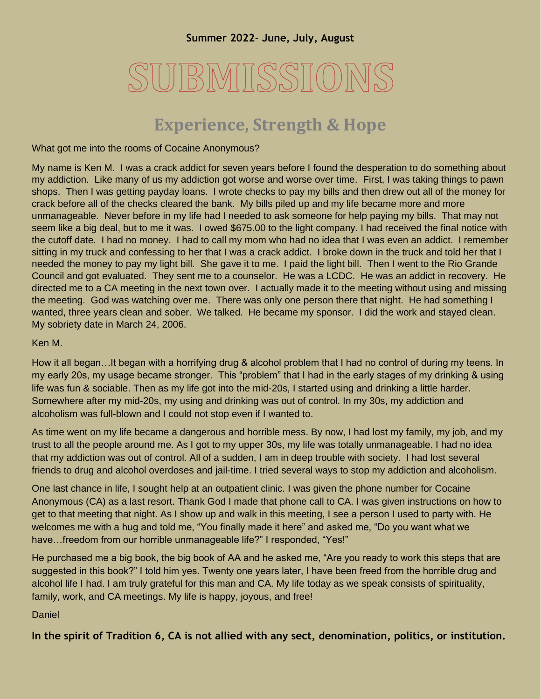# SUBMISSION

### **Experience, Strength & Hope**

What got me into the rooms of Cocaine Anonymous?

My name is Ken M. I was a crack addict for seven years before I found the desperation to do something about my addiction. Like many of us my addiction got worse and worse over time. First, I was taking things to pawn shops. Then I was getting payday loans. I wrote checks to pay my bills and then drew out all of the money for crack before all of the checks cleared the bank. My bills piled up and my life became more and more unmanageable. Never before in my life had I needed to ask someone for help paying my bills. That may not seem like a big deal, but to me it was. I owed \$675.00 to the light company. I had received the final notice with the cutoff date. I had no money. I had to call my mom who had no idea that I was even an addict. I remember sitting in my truck and confessing to her that I was a crack addict. I broke down in the truck and told her that I needed the money to pay my light bill. She gave it to me. I paid the light bill. Then I went to the Rio Grande Council and got evaluated. They sent me to a counselor. He was a LCDC. He was an addict in recovery. He directed me to a CA meeting in the next town over. I actually made it to the meeting without using and missing the meeting. God was watching over me. There was only one person there that night. He had something I wanted, three years clean and sober. We talked. He became my sponsor. I did the work and stayed clean. My sobriety date in March 24, 2006.

Ken M.

How it all began…It began with a horrifying drug & alcohol problem that I had no control of during my teens. In my early 20s, my usage became stronger. This "problem" that I had in the early stages of my drinking & using life was fun & sociable. Then as my life got into the mid-20s, I started using and drinking a little harder. Somewhere after my mid-20s, my using and drinking was out of control. In my 30s, my addiction and alcoholism was full-blown and I could not stop even if I wanted to.

As time went on my life became a dangerous and horrible mess. By now, I had lost my family, my job, and my trust to all the people around me. As I got to my upper 30s, my life was totally unmanageable. I had no idea that my addiction was out of control. All of a sudden, I am in deep trouble with society. I had lost several friends to drug and alcohol overdoses and jail-time. I tried several ways to stop my addiction and alcoholism.

One last chance in life, I sought help at an outpatient clinic. I was given the phone number for Cocaine Anonymous (CA) as a last resort. Thank God I made that phone call to CA. I was given instructions on how to get to that meeting that night. As I show up and walk in this meeting, I see a person I used to party with. He welcomes me with a hug and told me, "You finally made it here" and asked me, "Do you want what we have…freedom from our horrible unmanageable life?" I responded, "Yes!"

He purchased me a big book, the big book of AA and he asked me, "Are you ready to work this steps that are suggested in this book?" I told him yes. Twenty one years later, I have been freed from the horrible drug and alcohol life I had. I am truly grateful for this man and CA. My life today as we speak consists of spirituality, family, work, and CA meetings. My life is happy, joyous, and free!

Daniel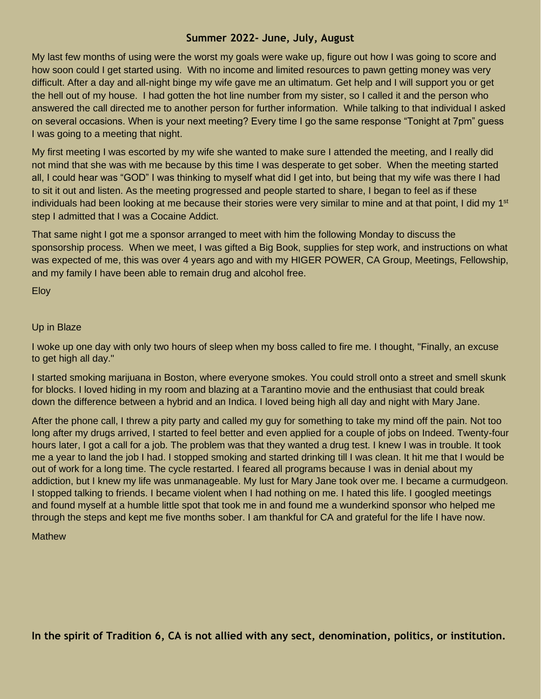My last few months of using were the worst my goals were wake up, figure out how I was going to score and how soon could I get started using. With no income and limited resources to pawn getting money was very difficult. After a day and all-night binge my wife gave me an ultimatum. Get help and I will support you or get the hell out of my house. I had gotten the hot line number from my sister, so I called it and the person who answered the call directed me to another person for further information. While talking to that individual I asked on several occasions. When is your next meeting? Every time I go the same response "Tonight at 7pm" guess I was going to a meeting that night.

My first meeting I was escorted by my wife she wanted to make sure I attended the meeting, and I really did not mind that she was with me because by this time I was desperate to get sober. When the meeting started all, I could hear was "GOD" I was thinking to myself what did I get into, but being that my wife was there I had to sit it out and listen. As the meeting progressed and people started to share, I began to feel as if these individuals had been looking at me because their stories were very similar to mine and at that point, I did my 1<sup>st</sup> step I admitted that I was a Cocaine Addict.

That same night I got me a sponsor arranged to meet with him the following Monday to discuss the sponsorship process. When we meet, I was gifted a Big Book, supplies for step work, and instructions on what was expected of me, this was over 4 years ago and with my HIGER POWER, CA Group, Meetings, Fellowship, and my family I have been able to remain drug and alcohol free.

Eloy

#### Up in Blaze

I woke up one day with only two hours of sleep when my boss called to fire me. I thought, "Finally, an excuse to get high all day."

I started smoking marijuana in Boston, where everyone smokes. You could stroll onto a street and smell skunk for blocks. I loved hiding in my room and blazing at a Tarantino movie and the enthusiast that could break down the difference between a hybrid and an Indica. I loved being high all day and night with Mary Jane.

After the phone call, I threw a pity party and called my guy for something to take my mind off the pain. Not too long after my drugs arrived, I started to feel better and even applied for a couple of jobs on Indeed. Twenty-four hours later, I got a call for a job. The problem was that they wanted a drug test. I knew I was in trouble. It took me a year to land the job I had. I stopped smoking and started drinking till I was clean. It hit me that I would be out of work for a long time. The cycle restarted. I feared all programs because I was in denial about my addiction, but I knew my life was unmanageable. My lust for Mary Jane took over me. I became a curmudgeon. I stopped talking to friends. I became violent when I had nothing on me. I hated this life. I googled meetings and found myself at a humble little spot that took me in and found me a wunderkind sponsor who helped me through the steps and kept me five months sober. I am thankful for CA and grateful for the life I have now.

#### **Mathew**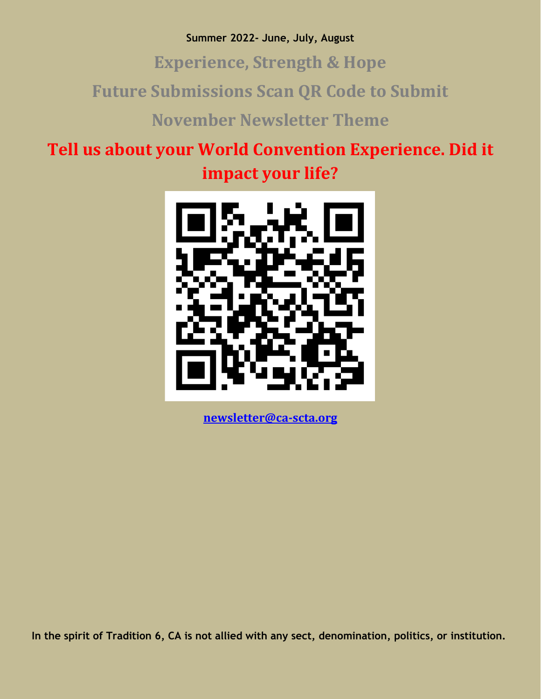**Experience, Strength & Hope**

**Future Submissions Scan QR Code to Submit**

**November Newsletter Theme**

**Tell us about your World Convention Experience. Did it impact your life?**



**[newsletter@ca-scta.org](mailto:newsletter@ca-scta.org)**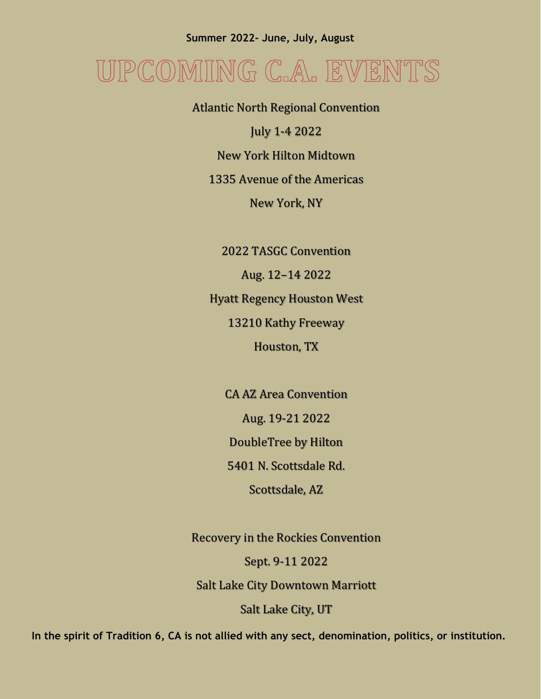## JPCOMING C.A. EVENTS

Atlantic North Regional Convention July 1-4 2022 New York Hilton Midtown 1335 Avenue of the Americas New York, NY

2022 TASGC Convention

Aug. 12–14 2022

Hyatt Regency Houston West

13210 Kathy Freeway

Houston, TX

CA AZ Area Convention Aug. 19-21 2022 DoubleTree by Hilton

5401 N. Scottsdale Rd.

Scottsdale, AZ

Recovery in the Rockies Convention

Sept. 9-11 2022

Salt Lake City Downtown Marriott

Salt Lake City, UT